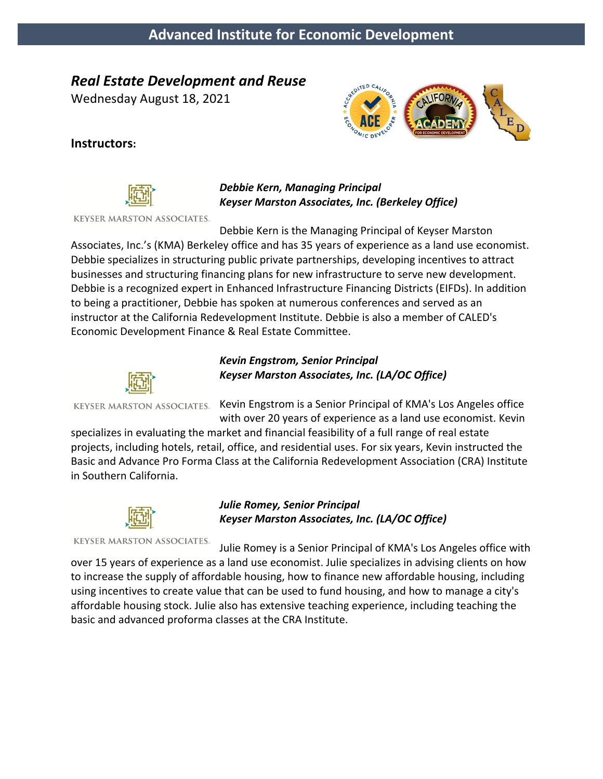# *Real Estate Development and Reuse*

Wednesday August 18, 2021



#### **Instructors:**



#### *Debbie Kern, Managing Principal Keyser Marston Associates, Inc. (Berkeley Office)*

**KEYSER MARSTON ASSOCIATES.** 

Debbie Kern is the Managing Principal of Keyser Marston

Associates, Inc.'s (KMA) Berkeley office and has 35 years of experience as a land use economist. Debbie specializes in structuring public private partnerships, developing incentives to attract businesses and structuring financing plans for new infrastructure to serve new development. Debbie is a recognized expert in Enhanced Infrastructure Financing Districts (EIFDs). In addition to being a practitioner, Debbie has spoken at numerous conferences and served as an instructor at the California Redevelopment Institute. Debbie is also a member of CALED's Economic Development Finance & Real Estate Committee.



#### *Kevin Engstrom, Senior Principal Keyser Marston Associates, Inc. (LA/OC Office)*

KEYSER MARSTON ASSOCIATES. Kevin Engstrom is a Senior Principal of KMA's Los Angeles office with over 20 years of experience as a land use economist. Kevin

specializes in evaluating the market and financial feasibility of a full range of real estate projects, including hotels, retail, office, and residential uses. For six years, Kevin instructed the Basic and Advance Pro Forma Class at the California Redevelopment Association (CRA) Institute in Southern California.



#### *Julie Romey, Senior Principal Keyser Marston Associates, Inc. (LA/OC Office)*

**KEYSER MARSTON ASSOCIATES.** 

Julie Romey is a Senior Principal of KMA's Los Angeles office with over 15 years of experience as a land use economist. Julie specializes in advising clients on how to increase the supply of affordable housing, how to finance new affordable housing, including using incentives to create value that can be used to fund housing, and how to manage a city's affordable housing stock. Julie also has extensive teaching experience, including teaching the basic and advanced proforma classes at the CRA Institute.